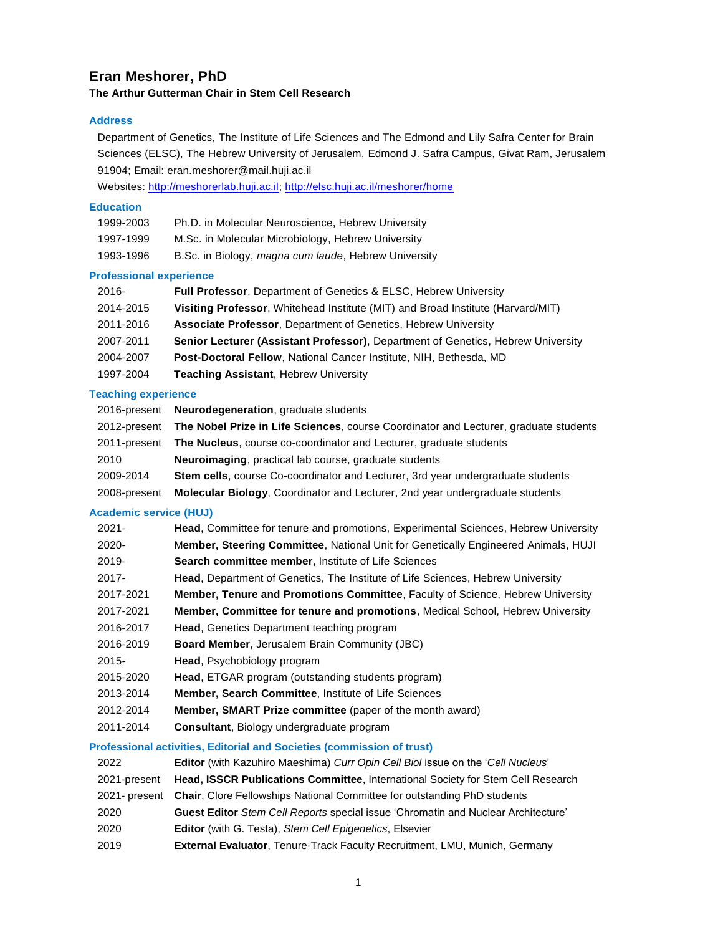# **Eran Meshorer, PhD**

# **The Arthur Gutterman Chair in Stem Cell Research**

# **Address**

Department of Genetics, The Institute of Life Sciences and The Edmond and Lily Safra Center for Brain Sciences (ELSC), The Hebrew University of Jerusalem, Edmond J. Safra Campus, Givat Ram, Jerusalem 91904; Email: eran.meshorer@mail.huji.ac.il

Websites[: http://meshorerlab.huji.ac.il;](http://meshorerlab.huji.ac.il/)<http://elsc.huji.ac.il/meshorer/home>

# **Education**

| 1999-2003 | Ph.D. in Molecular Neuroscience, Hebrew University   |
|-----------|------------------------------------------------------|
| 1997-1999 | M.Sc. in Molecular Microbiology, Hebrew University   |
| 1993-1996 | B.Sc. in Biology, magna cum laude, Hebrew University |

# **Professional experience**

| $2016 -$  | <b>Full Professor, Department of Genetics &amp; ELSC, Hebrew University</b>             |
|-----------|-----------------------------------------------------------------------------------------|
| 2014-2015 | Visiting Professor, Whitehead Institute (MIT) and Broad Institute (Harvard/MIT)         |
| 2011-2016 | <b>Associate Professor, Department of Genetics, Hebrew University</b>                   |
| 2007-2011 | <b>Senior Lecturer (Assistant Professor), Department of Genetics, Hebrew University</b> |
| 2004-2007 | Post-Doctoral Fellow, National Cancer Institute, NIH, Bethesda, MD                      |
| 1997-2004 | <b>Teaching Assistant, Hebrew University</b>                                            |

### **Teaching experience**

|              | 2016-present Neurodegeneration, graduate students                                                 |
|--------------|---------------------------------------------------------------------------------------------------|
|              | 2012-present The Nobel Prize in Life Sciences, course Coordinator and Lecturer, graduate students |
|              | 2011-present The Nucleus, course co-coordinator and Lecturer, graduate students                   |
| 2010         | <b>Neuroimaging, practical lab course, graduate students</b>                                      |
| 2009-2014    | Stem cells, course Co-coordinator and Lecturer, 3rd year undergraduate students                   |
| 2008-present | Molecular Biology, Coordinator and Lecturer, 2nd year undergraduate students                      |

# **Academic service (HUJ)**

| $2021 -$  | <b>Head, Committee for tenure and promotions, Experimental Sciences, Hebrew University</b> |
|-----------|--------------------------------------------------------------------------------------------|
| 2020-     | Member, Steering Committee, National Unit for Genetically Engineered Animals, HUJI         |
| $2019 -$  | <b>Search committee member, Institute of Life Sciences</b>                                 |
| $2017 -$  | <b>Head, Department of Genetics, The Institute of Life Sciences, Hebrew University</b>     |
| 2017-2021 | <b>Member, Tenure and Promotions Committee.</b> Faculty of Science, Hebrew University      |
| 2017-2021 | <b>Member, Committee for tenure and promotions, Medical School, Hebrew University</b>      |
| 2016-2017 | <b>Head.</b> Genetics Department teaching program                                          |
| 2016-2019 | <b>Board Member, Jerusalem Brain Community (JBC)</b>                                       |
| $2015 -$  | <b>Head, Psychobiology program</b>                                                         |
| 2015-2020 | <b>Head, ETGAR program (outstanding students program)</b>                                  |
| 2013-2014 | <b>Member, Search Committee.</b> Institute of Life Sciences                                |
| 2012-2014 | <b>Member, SMART Prize committee</b> (paper of the month award)                            |
| 2011-2014 | Consultant, Biology undergraduate program                                                  |

# **Professional activities, Editorial and Societies (commission of trust)**

| 2022         | Editor (with Kazuhiro Maeshima) Curr Opin Cell Biol issue on the 'Cell Nucleus'          |
|--------------|------------------------------------------------------------------------------------------|
| 2021-present | <b>Head, ISSCR Publications Committee, International Society for Stem Cell Research</b>  |
|              | 2021- present Chair, Clore Fellowships National Committee for outstanding PhD students   |
| 2020         | <b>Guest Editor</b> Stem Cell Reports special issue 'Chromatin and Nuclear Architecture' |
| 2020         | <b>Editor</b> (with G. Testa), Stem Cell Epigenetics, Elsevier                           |
| 2019         | External Evaluator, Tenure-Track Faculty Recruitment, LMU, Munich, Germany               |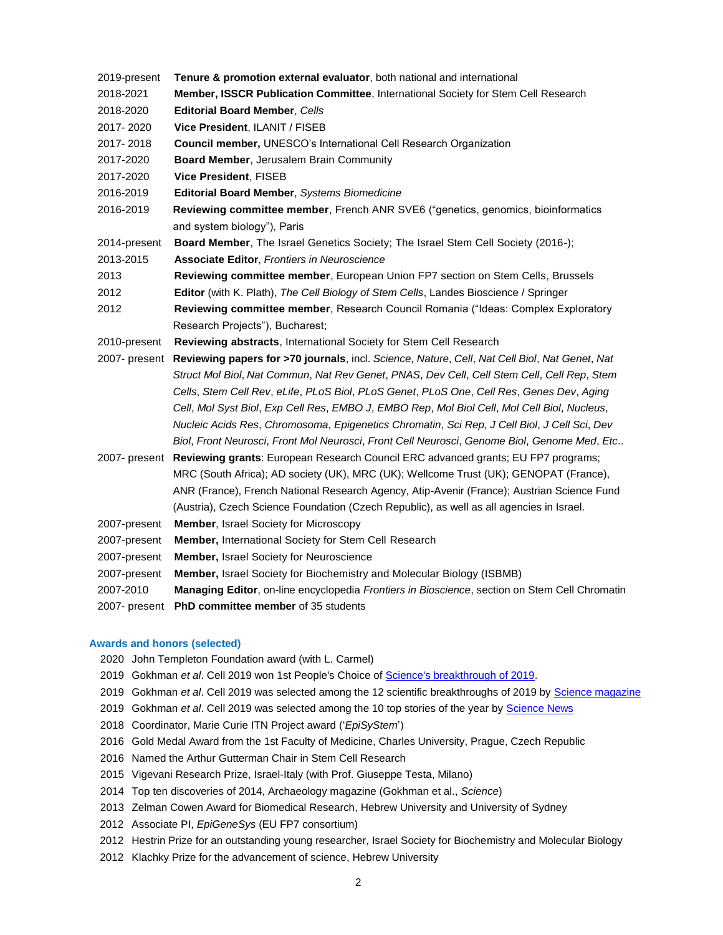- 2019-present **Tenure & promotion external evaluator**, both national and international
- 2018-2021 **Member, ISSCR Publication Committee**, International Society for Stem Cell Research
- 2018-2020 **Editorial Board Member**, *Cells*
- 2017- 2020 **Vice President**, ILANIT / FISEB
- 2017- 2018 **Council member,** UNESCO's International Cell Research Organization
- 2017-2020 **Board Member**, Jerusalem Brain Community
- 2017-2020 **Vice President**, FISEB
- 2016-2019 **Editorial Board Member**, *Systems Biomedicine*
- 2016-2019 **Reviewing committee member**, French ANR SVE6 ("genetics, genomics, bioinformatics and system biology"), Paris
- 2014-present **Board Member**, The Israel Genetics Society; The Israel Stem Cell Society (2016-);
- 2013-2015 **Associate Editor**, *Frontiers in Neuroscience*
- 2013 **Reviewing committee member**, European Union FP7 section on Stem Cells, Brussels
- 2012 **Editor** (with K. Plath), *The Cell Biology of Stem Cells*, Landes Bioscience / Springer
- 2012 **Reviewing committee member**, Research Council Romania ("Ideas: Complex Exploratory Research Projects"), Bucharest;
- 2010-present **Reviewing abstracts**, International Society for Stem Cell Research
- 2007- present **Reviewing papers for >70 journals**, incl. *Science*, *Nature*, *Cell*, *Nat Cell Biol*, *Nat Genet*, *Nat Struct Mol Biol*, *Nat Commun*, *Nat Rev Genet*, *PNAS*, *Dev Cell*, *Cell Stem Cell*, *Cell Rep*, *Stem Cells*, *Stem Cell Rev*, *eLife*, *PLoS Biol*, *PLoS Genet*, *PLoS One*, *Cell Res*, *Genes Dev*, *Aging Cell*, *Mol Syst Biol*, *Exp Cell Res*, *EMBO J*, *EMBO Rep*, *Mol Biol Cell*, *Mol Cell Biol*, *Nucleus*, *Nucleic Acids Res*, *Chromosoma*, *Epigenetics Chromatin*, *Sci Rep*, *J Cell Biol*, *J Cell Sci*, *Dev Biol*, *Front Neurosci*, *Front Mol Neurosci*, *Front Cell Neurosci*, *Genome Biol*, *Genome Med*, *Etc*..
- 2007- present **Reviewing grants**: European Research Council ERC advanced grants; EU FP7 programs; MRC (South Africa); AD society (UK), MRC (UK); Wellcome Trust (UK); GENOPAT (France), ANR (France), French National Research Agency, Atip-Avenir (France); Austrian Science Fund (Austria), Czech Science Foundation (Czech Republic), as well as all agencies in Israel.
- 2007-present **Member**, Israel Society for Microscopy
- 2007-present **Member,** International Society for Stem Cell Research
- 2007-present **Member,** Israel Society for Neuroscience
- 2007-present **Member,** Israel Society for Biochemistry and Molecular Biology (ISBMB)
- 2007-2010 **Managing Editor**, on-line encyclopedia *Frontiers in Bioscience*, section on Stem Cell Chromatin
- 2007- present **PhD committee member** of 35 students

#### **Awards and honors (selected)**

- 2020 John Templeton Foundation award (with L. Carmel)
- 2019 Gokhman *et al*. Cell 2019 won 1st People's Choice of [Science's breakthrough of 2019.](https://science.sciencemag.org/content/366/6472/1436)
- 2019 Gokhman *et al*. Cell 2019 was selected among the 12 scientific breakthroughs of 2019 by [Science magazine](https://www.sciencemag.org/news/2019/11/choose-your-2019-breakthrough-year)
- 2019 Gokhman *et al*. Cell 2019 was selected among the 10 top stories of the year by [Science News](https://www.sciencenews.org/2019top10)
- 2018 Coordinator, Marie Curie ITN Project award ('*EpiSyStem*')
- 2016 Gold Medal Award from the 1st Faculty of Medicine, Charles University, Prague, Czech Republic
- 2016 Named the Arthur Gutterman Chair in Stem Cell Research
- 2015 Vigevani Research Prize, Israel-Italy (with Prof. Giuseppe Testa, Milano)
- 2014 Top ten discoveries of 2014, Archaeology magazine (Gokhman et al., *Science*)
- 2013 Zelman Cowen Award for Biomedical Research, Hebrew University and University of Sydney
- 2012 Associate PI, *EpiGeneSys* (EU FP7 consortium)
- 2012 Hestrin Prize for an outstanding young researcher, Israel Society for Biochemistry and Molecular Biology
- 2012 Klachky Prize for the advancement of science, Hebrew University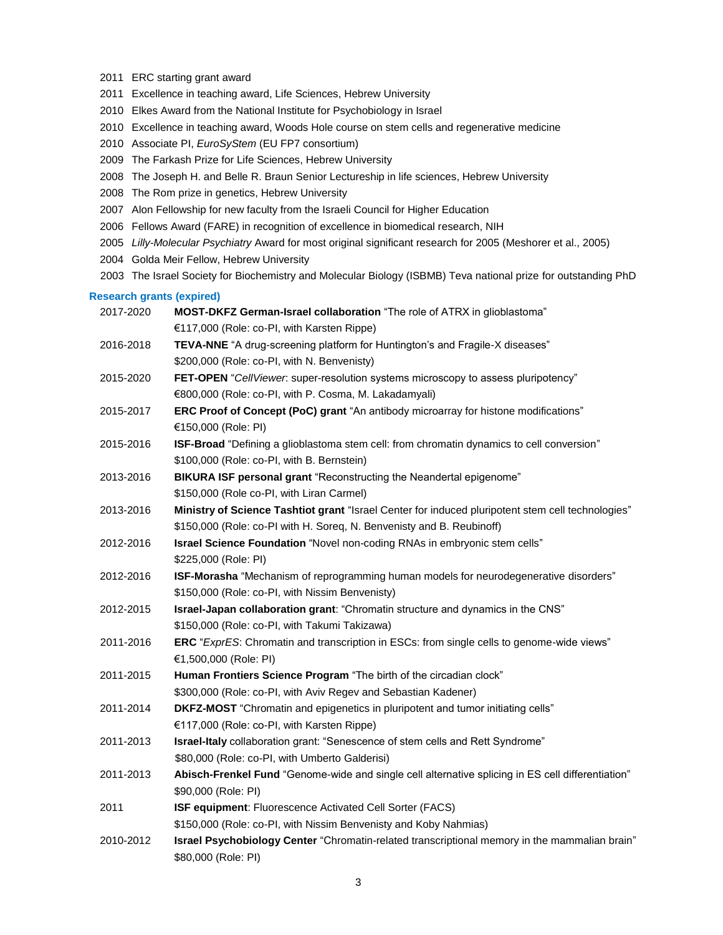- 2011 ERC starting grant award
- 2011 Excellence in teaching award, Life Sciences, Hebrew University
- 2010 Elkes Award from the National Institute for Psychobiology in Israel
- 2010 Excellence in teaching award, Woods Hole course on stem cells and regenerative medicine
- 2010 Associate PI, *EuroSyStem* (EU FP7 consortium)
- 2009 The Farkash Prize for Life Sciences, Hebrew University
- 2008 The Joseph H. and Belle R. Braun Senior Lectureship in life sciences, Hebrew University
- 2008 The Rom prize in genetics, Hebrew University
- 2007 Alon Fellowship for new faculty from the Israeli Council for Higher Education
- 2006 Fellows Award (FARE) in recognition of excellence in biomedical research, NIH
- 2005 *Lilly-Molecular Psychiatry* Award for most original significant research for 2005 (Meshorer et al., 2005)
- 2004 Golda Meir Fellow, Hebrew University
- 2003 The Israel Society for Biochemistry and Molecular Biology (ISBMB) Teva national prize for outstanding PhD

# **Research grants (expired)**

- 2017-2020 **MOST-DKFZ German-Israel collaboration** "The role of ATRX in glioblastoma" €117,000 (Role: co-PI, with Karsten Rippe)
- 2016-2018 **TEVA-NNE** "A drug-screening platform for Huntington's and Fragile-X diseases" \$200,000 (Role: co-PI, with N. Benvenisty)
- 2015-2020 **FET-OPEN** "*CellViewer*: super-resolution systems microscopy to assess pluripotency" €800,000 (Role: co-PI, with P. Cosma, M. Lakadamyali)
- 2015-2017 **ERC Proof of Concept (PoC) grant** "An antibody microarray for histone modifications" €150,000 (Role: PI)
- 2015-2016 **ISF-Broad** "Defining a glioblastoma stem cell: from chromatin dynamics to cell conversion" \$100,000 (Role: co-PI, with B. Bernstein)
- 2013-2016 **BIKURA ISF personal grant** "Reconstructing the Neandertal epigenome" \$150,000 (Role co-PI, with Liran Carmel)
- 2013-2016 **Ministry of Science Tashtiot grant** "Israel Center for induced pluripotent stem cell technologies" \$150,000 (Role: co-PI with H. Soreq, N. Benvenisty and B. Reubinoff)
- 2012-2016 **Israel Science Foundation** "Novel non-coding RNAs in embryonic stem cells" \$225,000 (Role: PI)
- 2012-2016 **ISF-Morasha** "Mechanism of reprogramming human models for neurodegenerative disorders" \$150,000 (Role: co-PI, with Nissim Benvenisty)
- 2012-2015 **Israel-Japan collaboration grant**: "Chromatin structure and dynamics in the CNS" \$150,000 (Role: co-PI, with Takumi Takizawa)
- 2011-2016 **ERC** "*ExprES*: Chromatin and transcription in ESCs: from single cells to genome-wide views" €1,500,000 (Role: PI)
- 2011-2015 **Human Frontiers Science Program** "The birth of the circadian clock" \$300,000 (Role: co-PI, with Aviv Regev and Sebastian Kadener)
- 2011-2014 **DKFZ-MOST** "Chromatin and epigenetics in pluripotent and tumor initiating cells" €117,000 (Role: co-PI, with Karsten Rippe)
- 2011-2013 **Israel-Italy** collaboration grant: "Senescence of stem cells and Rett Syndrome" \$80,000 (Role: co-PI, with Umberto Galderisi)
- 2011-2013 **Abisch-Frenkel Fund** "Genome-wide and single cell alternative splicing in ES cell differentiation" \$90,000 (Role: PI)
- 2011 **ISF equipment**: Fluorescence Activated Cell Sorter (FACS)
	- \$150,000 (Role: co-PI, with Nissim Benvenisty and Koby Nahmias)
- 2010-2012 **Israel Psychobiology Center** "Chromatin-related transcriptional memory in the mammalian brain" \$80,000 (Role: PI)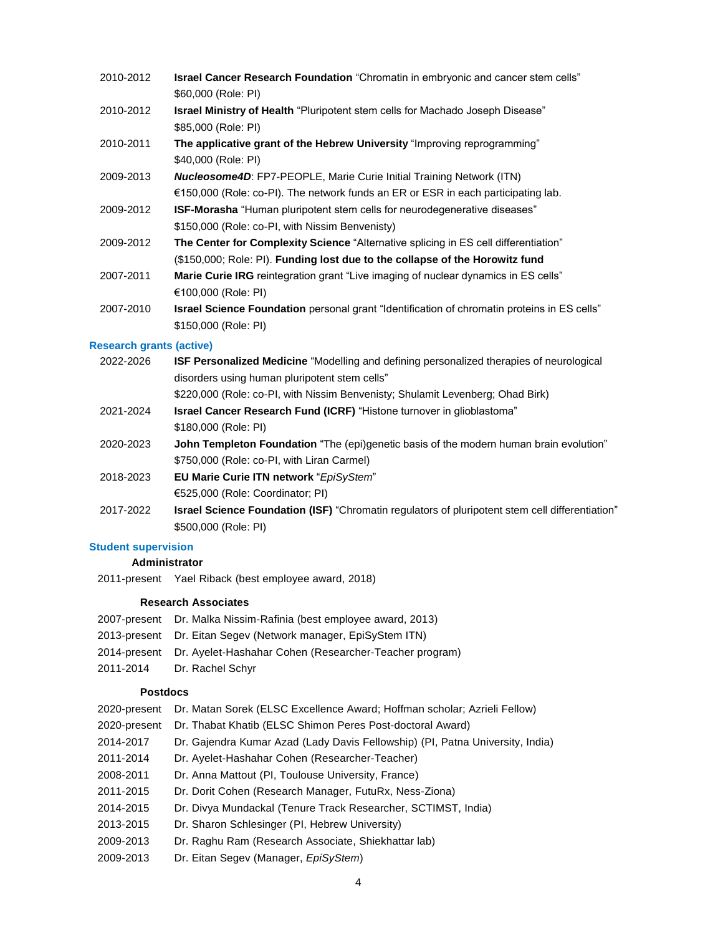- 2010-2012 **Israel Cancer Research Foundation** "Chromatin in embryonic and cancer stem cells" \$60,000 (Role: PI)
- 2010-2012 **Israel Ministry of Health** "Pluripotent stem cells for Machado Joseph Disease" \$85,000 (Role: PI)
- 2010-2011 **The applicative grant of the Hebrew University** "Improving reprogramming" \$40,000 (Role: PI)
- 2009-2013 *Nucleosome4D*: FP7-PEOPLE, Marie Curie Initial Training Network (ITN) €150,000 (Role: co-PI). The network funds an ER or ESR in each participating lab.
- 2009-2012 **ISF-Morasha** "Human pluripotent stem cells for neurodegenerative diseases" \$150,000 (Role: co-PI, with Nissim Benvenisty)
- 2009-2012 **The Center for Complexity Science** "Alternative splicing in ES cell differentiation" (\$150,000; Role: PI). **Funding lost due to the collapse of the Horowitz fund**
- 2007-2011 **Marie Curie IRG** reintegration grant "Live imaging of nuclear dynamics in ES cells" €100,000 (Role: PI)
- 2007-2010 **Israel Science Foundation** personal grant "Identification of chromatin proteins in ES cells" \$150,000 (Role: PI)

#### **Research grants (active)**

| 2022-2026 | <b>ISF Personalized Medicine</b> "Modelling and defining personalized therapies of neurological        |
|-----------|--------------------------------------------------------------------------------------------------------|
|           | disorders using human pluripotent stem cells"                                                          |
|           | \$220,000 (Role: co-PI, with Nissim Benvenisty; Shulamit Levenberg; Ohad Birk)                         |
| 2021-2024 | <b>Israel Cancer Research Fund (ICRF)</b> "Histone turnover in glioblastoma"                           |
|           | \$180,000 (Role: PI)                                                                                   |
| 2020-2023 | <b>John Templeton Foundation</b> "The (epi)genetic basis of the modern human brain evolution"          |
|           | \$750,000 (Role: co-PI, with Liran Carmel)                                                             |
| 2018-2023 | <b>EU Marie Curie ITN network "EpiSyStem"</b>                                                          |
|           | €525,000 (Role: Coordinator; PI)                                                                       |
| 2017-2022 | <b>Israel Science Foundation (ISF)</b> "Chromatin regulators of pluripotent stem cell differentiation" |
|           | \$500,000 (Role: PI)                                                                                   |

# **Student supervision**

# **Administrator**

2011-present Yael Riback (best employee award, 2018)

## **Research Associates**

- 2007-present Dr. Malka Nissim-Rafinia (best employee award, 2013)
- 2013-present Dr. Eitan Segev (Network manager, EpiSyStem ITN)
- 2014-present Dr. Ayelet-Hashahar Cohen (Researcher-Teacher program)
- 2011-2014 Dr. Rachel Schyr

#### **Postdocs**

| 2020-present | Dr. Matan Sorek (ELSC Excellence Award; Hoffman scholar; Azrieli Fellow)      |
|--------------|-------------------------------------------------------------------------------|
| 2020-present | Dr. Thabat Khatib (ELSC Shimon Peres Post-doctoral Award)                     |
| 2014-2017    | Dr. Gajendra Kumar Azad (Lady Davis Fellowship) (PI, Patna University, India) |
| 2011-2014    | Dr. Ayelet-Hashahar Cohen (Researcher-Teacher)                                |
| 2008-2011    | Dr. Anna Mattout (PI, Toulouse University, France)                            |
| 2011-2015    | Dr. Dorit Cohen (Research Manager, FutuRx, Ness-Ziona)                        |
| 2014-2015    | Dr. Divya Mundackal (Tenure Track Researcher, SCTIMST, India)                 |
| 2013-2015    | Dr. Sharon Schlesinger (PI, Hebrew University)                                |
| 2009-2013    | Dr. Raghu Ram (Research Associate, Shiekhattar lab)                           |
| 2009-2013    | Dr. Eitan Segev (Manager, EpiSyStem)                                          |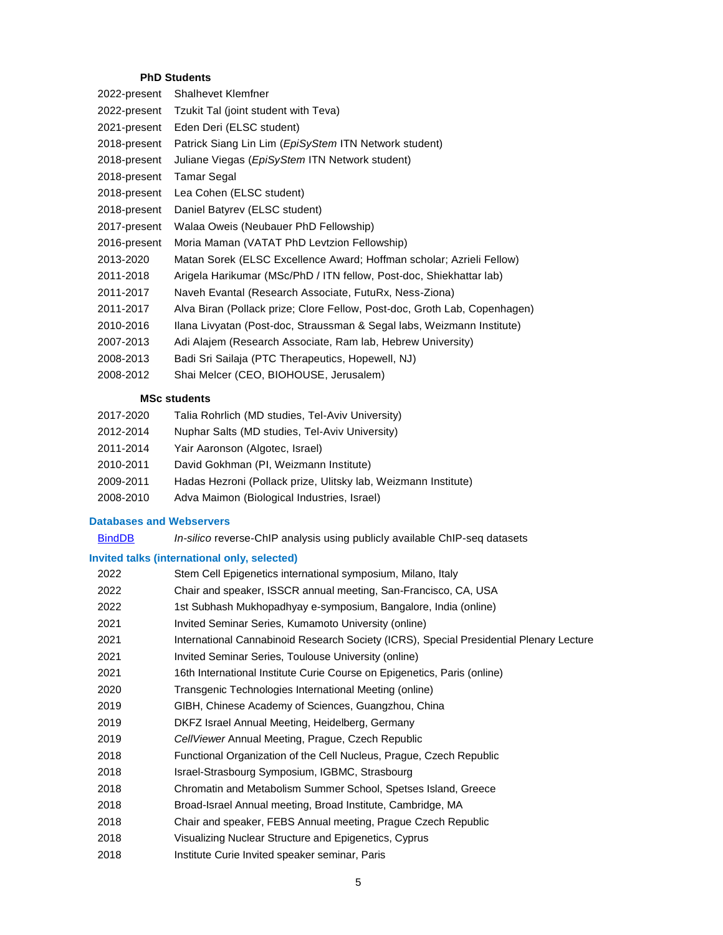# **PhD Students**

| 2022-present | Shalhevet Klemfner                                                        |
|--------------|---------------------------------------------------------------------------|
| 2022-present | Tzukit Tal (joint student with Teva)                                      |
| 2021-present | Eden Deri (ELSC student)                                                  |
| 2018-present | Patrick Siang Lin Lim (EpiSyStem ITN Network student)                     |
| 2018-present | Juliane Viegas (EpiSyStem ITN Network student)                            |
| 2018-present | <b>Tamar Segal</b>                                                        |
| 2018-present | Lea Cohen (ELSC student)                                                  |
| 2018-present | Daniel Batyrev (ELSC student)                                             |
| 2017-present | Walaa Oweis (Neubauer PhD Fellowship)                                     |
| 2016-present | Moria Maman (VATAT PhD Levtzion Fellowship)                               |
| 2013-2020    | Matan Sorek (ELSC Excellence Award; Hoffman scholar; Azrieli Fellow)      |
| 2011-2018    | Arigela Harikumar (MSc/PhD / ITN fellow, Post-doc, Shiekhattar lab)       |
| 2011-2017    | Naveh Evantal (Research Associate, FutuRx, Ness-Ziona)                    |
| 2011-2017    | Alva Biran (Pollack prize; Clore Fellow, Post-doc, Groth Lab, Copenhagen) |
| 2010-2016    | Ilana Livyatan (Post-doc, Straussman & Segal labs, Weizmann Institute)    |
| 2007-2013    | Adi Alajem (Research Associate, Ram lab, Hebrew University)               |
| 2008-2013    | Badi Sri Sailaja (PTC Therapeutics, Hopewell, NJ)                         |
| 2008-2012    | Shai Melcer (CEO, BIOHOUSE, Jerusalem)                                    |
|              |                                                                           |

# **MSc students**

| 2017-2020 | Talia Rohrlich (MD studies, Tel-Aviv University) |  |  |  |
|-----------|--------------------------------------------------|--|--|--|
|-----------|--------------------------------------------------|--|--|--|

- 2012-2014 Nuphar Salts (MD studies, Tel-Aviv University)
- 2011-2014 Yair Aaronson (Algotec, Israel)
- 2010-2011 David Gokhman (PI, Weizmann Institute)
- 2009-2011 Hadas Hezroni (Pollack prize, Ulitsky lab, Weizmann Institute)
- 2008-2010 Adva Maimon (Biological Industries, Israel)

# **Databases and Webservers**

[BindDB](http://bind-db.huji.ac.il/) *In-silico* reverse-ChIP analysis using publicly available ChIP-seq datasets

# **Invited talks (international only, selected)**

| 2022 | Stem Cell Epigenetics international symposium, Milano, Italy                            |
|------|-----------------------------------------------------------------------------------------|
| 2022 | Chair and speaker, ISSCR annual meeting, San-Francisco, CA, USA                         |
| 2022 | 1st Subhash Mukhopadhyay e-symposium, Bangalore, India (online)                         |
| 2021 | Invited Seminar Series, Kumamoto University (online)                                    |
| 2021 | International Cannabinoid Research Society (ICRS), Special Presidential Plenary Lecture |
| 2021 | Invited Seminar Series, Toulouse University (online)                                    |
| 2021 | 16th International Institute Curie Course on Epigenetics, Paris (online)                |
| 2020 | Transgenic Technologies International Meeting (online)                                  |
| 2019 | GIBH, Chinese Academy of Sciences, Guangzhou, China                                     |
| 2019 | DKFZ Israel Annual Meeting, Heidelberg, Germany                                         |
| 2019 | CellViewer Annual Meeting, Prague, Czech Republic                                       |
| 2018 | Functional Organization of the Cell Nucleus, Prague, Czech Republic                     |
| 2018 | Israel-Strasbourg Symposium, IGBMC, Strasbourg                                          |
| 2018 | Chromatin and Metabolism Summer School, Spetses Island, Greece                          |
| 2018 | Broad-Israel Annual meeting, Broad Institute, Cambridge, MA                             |
| 2018 | Chair and speaker, FEBS Annual meeting, Prague Czech Republic                           |
| 2018 | Visualizing Nuclear Structure and Epigenetics, Cyprus                                   |
| 2018 | Institute Curie Invited speaker seminar, Paris                                          |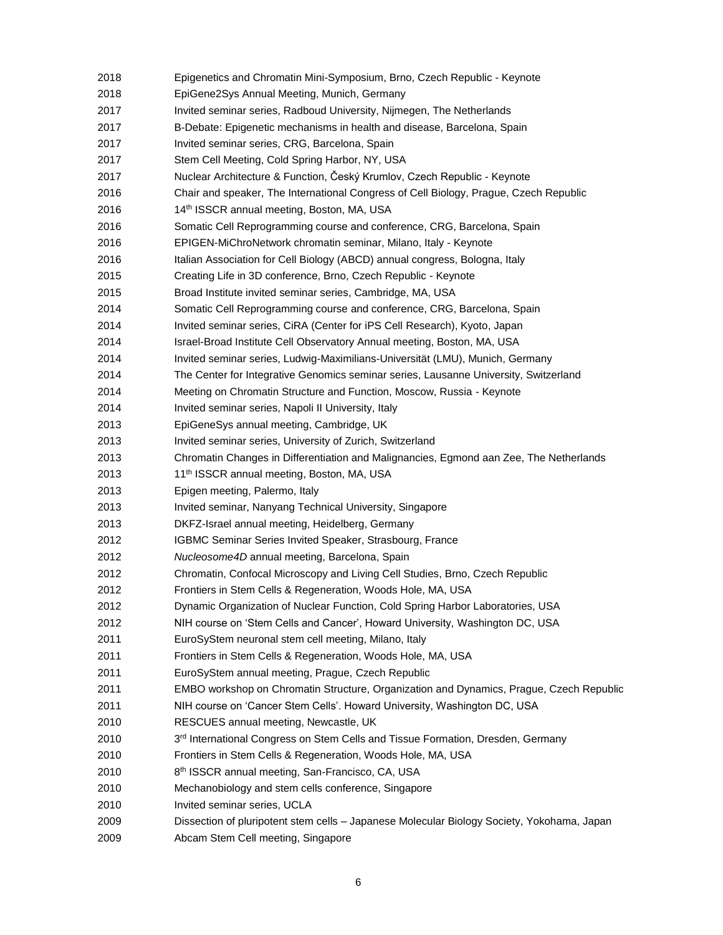| 2018 | Epigenetics and Chromatin Mini-Symposium, Brno, Czech Republic - Keynote                   |
|------|--------------------------------------------------------------------------------------------|
| 2018 | EpiGene2Sys Annual Meeting, Munich, Germany                                                |
| 2017 | Invited seminar series, Radboud University, Nijmegen, The Netherlands                      |
| 2017 | B-Debate: Epigenetic mechanisms in health and disease, Barcelona, Spain                    |
| 2017 | Invited seminar series, CRG, Barcelona, Spain                                              |
| 2017 | Stem Cell Meeting, Cold Spring Harbor, NY, USA                                             |
| 2017 | Nuclear Architecture & Function, Český Krumlov, Czech Republic - Keynote                   |
| 2016 | Chair and speaker, The International Congress of Cell Biology, Prague, Czech Republic      |
| 2016 | 14th ISSCR annual meeting, Boston, MA, USA                                                 |
| 2016 | Somatic Cell Reprogramming course and conference, CRG, Barcelona, Spain                    |
| 2016 | EPIGEN-MiChroNetwork chromatin seminar, Milano, Italy - Keynote                            |
| 2016 | Italian Association for Cell Biology (ABCD) annual congress, Bologna, Italy                |
| 2015 | Creating Life in 3D conference, Brno, Czech Republic - Keynote                             |
| 2015 | Broad Institute invited seminar series, Cambridge, MA, USA                                 |
| 2014 | Somatic Cell Reprogramming course and conference, CRG, Barcelona, Spain                    |
| 2014 | Invited seminar series, CiRA (Center for iPS Cell Research), Kyoto, Japan                  |
| 2014 | Israel-Broad Institute Cell Observatory Annual meeting, Boston, MA, USA                    |
| 2014 | Invited seminar series, Ludwig-Maximilians-Universität (LMU), Munich, Germany              |
| 2014 | The Center for Integrative Genomics seminar series, Lausanne University, Switzerland       |
| 2014 | Meeting on Chromatin Structure and Function, Moscow, Russia - Keynote                      |
| 2014 | Invited seminar series, Napoli II University, Italy                                        |
| 2013 | EpiGeneSys annual meeting, Cambridge, UK                                                   |
| 2013 | Invited seminar series, University of Zurich, Switzerland                                  |
| 2013 | Chromatin Changes in Differentiation and Malignancies, Egmond aan Zee, The Netherlands     |
| 2013 | 11 <sup>th</sup> ISSCR annual meeting, Boston, MA, USA                                     |
| 2013 | Epigen meeting, Palermo, Italy                                                             |
| 2013 | Invited seminar, Nanyang Technical University, Singapore                                   |
| 2013 | DKFZ-Israel annual meeting, Heidelberg, Germany                                            |
| 2012 | IGBMC Seminar Series Invited Speaker, Strasbourg, France                                   |
| 2012 | Nucleosome4D annual meeting, Barcelona, Spain                                              |
| 2012 | Chromatin, Confocal Microscopy and Living Cell Studies, Brno, Czech Republic               |
| 2012 | Frontiers in Stem Cells & Regeneration, Woods Hole, MA, USA                                |
| 2012 | Dynamic Organization of Nuclear Function, Cold Spring Harbor Laboratories, USA             |
| 2012 | NIH course on 'Stem Cells and Cancer', Howard University, Washington DC, USA               |
| 2011 | EuroSyStem neuronal stem cell meeting, Milano, Italy                                       |
| 2011 | Frontiers in Stem Cells & Regeneration, Woods Hole, MA, USA                                |
| 2011 | EuroSyStem annual meeting, Prague, Czech Republic                                          |
| 2011 | EMBO workshop on Chromatin Structure, Organization and Dynamics, Prague, Czech Republic    |
| 2011 | NIH course on 'Cancer Stem Cells'. Howard University, Washington DC, USA                   |
| 2010 | RESCUES annual meeting, Newcastle, UK                                                      |
| 2010 | 3rd International Congress on Stem Cells and Tissue Formation, Dresden, Germany            |
| 2010 | Frontiers in Stem Cells & Regeneration, Woods Hole, MA, USA                                |
| 2010 | 8 <sup>th</sup> ISSCR annual meeting, San-Francisco, CA, USA                               |
| 2010 | Mechanobiology and stem cells conference, Singapore                                        |
| 2010 | Invited seminar series, UCLA                                                               |
| 2009 | Dissection of pluripotent stem cells - Japanese Molecular Biology Society, Yokohama, Japan |
| 2009 | Abcam Stem Cell meeting, Singapore                                                         |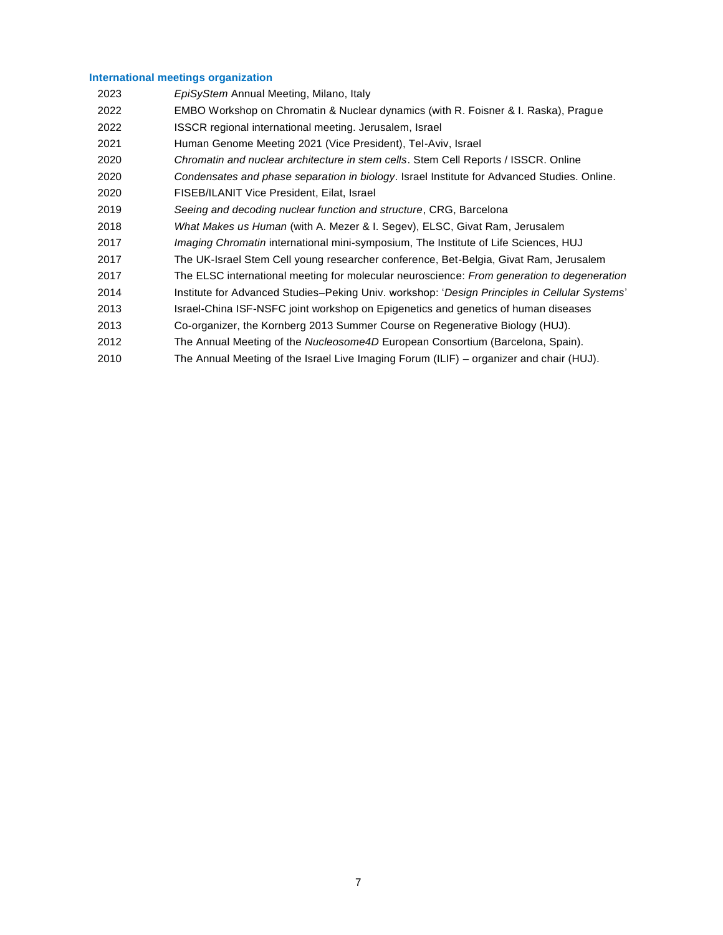# **International meetings organization**

| 2023 | EpiSyStem Annual Meeting, Milano, Italy                                                       |
|------|-----------------------------------------------------------------------------------------------|
| 2022 | EMBO Workshop on Chromatin & Nuclear dynamics (with R. Foisner & I. Raska), Prague            |
| 2022 | ISSCR regional international meeting. Jerusalem, Israel                                       |
| 2021 | Human Genome Meeting 2021 (Vice President), Tel-Aviv, Israel                                  |
| 2020 | <i>Chromatin and nuclear architecture in stem cells. Stem Cell Reports / ISSCR. Online</i>    |
| 2020 | Condensates and phase separation in biology. Israel Institute for Advanced Studies. Online.   |
| 2020 | FISEB/ILANIT Vice President, Eilat, Israel                                                    |
| 2019 | Seeing and decoding nuclear function and structure, CRG, Barcelona                            |
| 2018 | What Makes us Human (with A. Mezer & I. Segev), ELSC, Givat Ram, Jerusalem                    |
| 2017 | <i>Imaging Chromatin</i> international mini-symposium, The Institute of Life Sciences, HUJ    |
| 2017 | The UK-Israel Stem Cell young researcher conference, Bet-Belgia, Givat Ram, Jerusalem         |
| 2017 | The ELSC international meeting for molecular neuroscience: From generation to degeneration    |
| 2014 | Institute for Advanced Studies-Peking Univ. workshop: 'Design Principles in Cellular Systems' |
| 2013 | Israel-China ISF-NSFC joint workshop on Epigenetics and genetics of human diseases            |
| 2013 | Co-organizer, the Kornberg 2013 Summer Course on Regenerative Biology (HUJ).                  |
| 2012 | The Annual Meeting of the Nucleosome4D European Consortium (Barcelona, Spain).                |
| 2010 | The Annual Meeting of the Israel Live Imaging Forum (ILIF) – organizer and chair (HUJ).       |
|      |                                                                                               |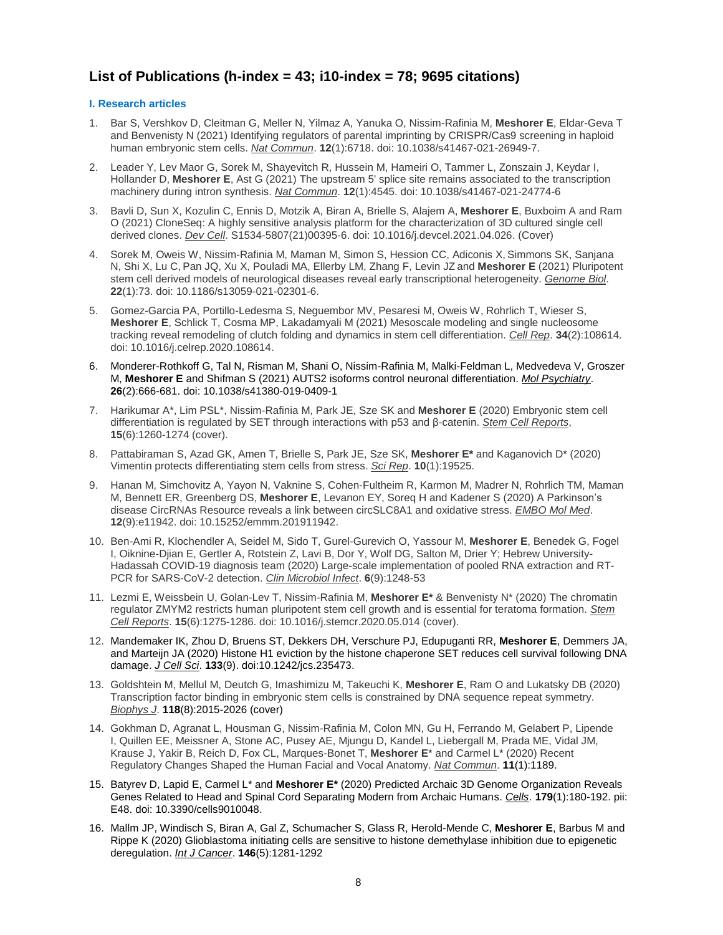# **List of Publications (h-index = 43; i10-index = 78; 9695 citations)**

# **I. Research articles**

- 1. Bar S, Vershkov D, Cleitman G, Meller N, Yilmaz A, Yanuka O, Nissim-Rafinia M, **Meshorer E**, Eldar-Geva T and Benvenisty N (2021) Identifying regulators of parental imprinting by CRISPR/Cas9 screening in haploid human embryonic stem cells. *Nat Commun*. **12**(1):6718. doi: 10.1038/s41467-021-26949-7.
- 2. Leader Y, Lev Maor G, Sorek M, Shayevitch R, Hussein M, Hameiri O, Tammer L, Zonszain J, Keydar I, Hollander D, **Meshorer E**, Ast G (2021) The upstream 5' splice site remains associated to the transcription machinery during intron synthesis. *Nat Commun*. **12**(1):4545. doi: 10.1038/s41467-021-24774-6
- 3. Bavli D, Sun X, Kozulin C, Ennis D, Motzik A, Biran A, Brielle S, Alajem A, **Meshorer E**, Buxboim A and Ram O (2021) CloneSeq: A highly sensitive analysis platform for the characterization of 3D cultured single cell derived clones. *Dev Cell*. S1534-5807(21)00395-6. doi: 10.1016/j.devcel.2021.04.026. (Cover)
- 4. Sorek M, Oweis W, Nissim-Rafinia M, Maman M, Simon S, Hession CC, Adiconis X, Simmons SK, Sanjana N, Shi X, Lu C, Pan JQ, Xu X, Pouladi MA, Ellerby LM, Zhang F, Levin JZ and **Meshorer E** (2021) Pluripotent stem cell derived models of neurological diseases reveal early transcriptional heterogeneity. *Genome Biol*. **22**(1):73. doi: 10.1186/s13059-021-02301-6.
- 5. Gomez-Garcia PA, Portillo-Ledesma S, Neguembor MV, Pesaresi M, Oweis W, Rohrlich T, Wieser S, **Meshorer E**, Schlick T, Cosma MP, Lakadamyali M (2021) Mesoscale modeling and single nucleosome tracking reveal remodeling of clutch folding and dynamics in stem cell differentiation. *Cell Rep*. **34**(2):108614. doi: 10.1016/j.celrep.2020.108614.
- 6. Monderer-Rothkoff G, Tal N, Risman M, Shani O, Nissim-Rafinia M, Malki-Feldman L, Medvedeva V, Groszer M, **Meshorer E** and Shifman S (2021) AUTS2 isoforms control neuronal differentiation. *Mol Psychiatry*. **26**(2):666-681. doi: 10.1038/s41380-019-0409-1
- 7. Harikumar A\*, Lim PSL\*, Nissim-Rafinia M, Park JE, Sze SK and **Meshorer E** (2020) Embryonic stem cell differentiation is regulated by SET through interactions with p53 and β-catenin. *Stem Cell Reports*, **15**(6):1260-1274 (cover).
- 8. Pattabiraman S, Azad GK, Amen T, Brielle S, Park JE, Sze SK, **Meshorer E\*** and Kaganovich D\* (2020) Vimentin protects differentiating stem cells from stress. *Sci Rep*. **10**(1):19525.
- 9. Hanan M, Simchovitz A, Yayon N, Vaknine S, Cohen-Fultheim R, Karmon M, Madrer N, Rohrlich TM, Maman M, Bennett ER, Greenberg DS, **Meshorer E**, Levanon EY, Soreq H and Kadener S (2020) A Parkinson's disease CircRNAs Resource reveals a link between circSLC8A1 and oxidative stress. *EMBO Mol Med*. **12**(9):e11942. doi: 10.15252/emmm.201911942.
- 10. Ben-Ami R, Klochendler A, Seidel M, Sido T, Gurel-Gurevich O, Yassour M, **Meshorer E**, Benedek G, Fogel I, Oiknine-Djian E, Gertler A, Rotstein Z, Lavi B, Dor Y, Wolf DG, Salton M, Drier Y; Hebrew University-Hadassah COVID-19 diagnosis team (2020) Large-scale implementation of pooled RNA extraction and RT-PCR for SARS-CoV-2 detection. *Clin Microbiol Infect*. **6**(9):1248-53
- 11. Lezmi E, Weissbein U, Golan-Lev T, Nissim-Rafinia M, **Meshorer E\*** & Benvenisty N\* (2020) The chromatin regulator ZMYM2 restricts human pluripotent stem cell growth and is essential for teratoma formation. *Stem Cell Reports*. **15**(6):1275-1286. doi: 10.1016/j.stemcr.2020.05.014 (cover).
- 12. Mandemaker IK, Zhou D, Bruens ST, Dekkers DH, Verschure PJ, Edupuganti RR, **Meshorer E**, Demmers JA, and Marteijn JA (2020) Histone H1 eviction by the histone chaperone SET reduces cell survival following DNA damage. *J Cell Sci*. **133**(9). doi:10.1242/jcs.235473.
- 13. Goldshtein M, Mellul M, Deutch G, Imashimizu M, Takeuchi K, **Meshorer E**, Ram O and Lukatsky DB (2020) Transcription factor binding in embryonic stem cells is constrained by DNA sequence repeat symmetry. *Biophys J*. **118**(8):2015-2026 (cover)
- 14. Gokhman D, Agranat L, Housman G, Nissim-Rafinia M, Colon MN, Gu H, Ferrando M, Gelabert P, Lipende I, Quillen EE, Meissner A, Stone AC, Pusey AE, Mjungu D, Kandel L, Liebergall M, Prada ME, Vidal JM, Krause J, Yakir B, Reich D, Fox CL, Marques-Bonet T, **Meshorer E**\* and Carmel L\* (2020) Recent Regulatory Changes Shaped the Human Facial and Vocal Anatomy. *Nat Commun*. **11**(1):1189.
- 15. Batyrev D, Lapid E, Carmel L\* and **Meshorer E\*** (2020) Predicted Archaic 3D Genome Organization Reveals Genes Related to Head and Spinal Cord Separating Modern from Archaic Humans. *Cells*. **179**(1):180-192. pii: E48. doi: 10.3390/cells9010048.
- 16. Mallm JP, Windisch S, Biran A, Gal Z, Schumacher S, Glass R, Herold-Mende C, **Meshorer E**, Barbus M and Rippe K (2020) Glioblastoma initiating cells are sensitive to histone demethylase inhibition due to epigenetic deregulation. *Int J Cancer*. **146**(5):1281-1292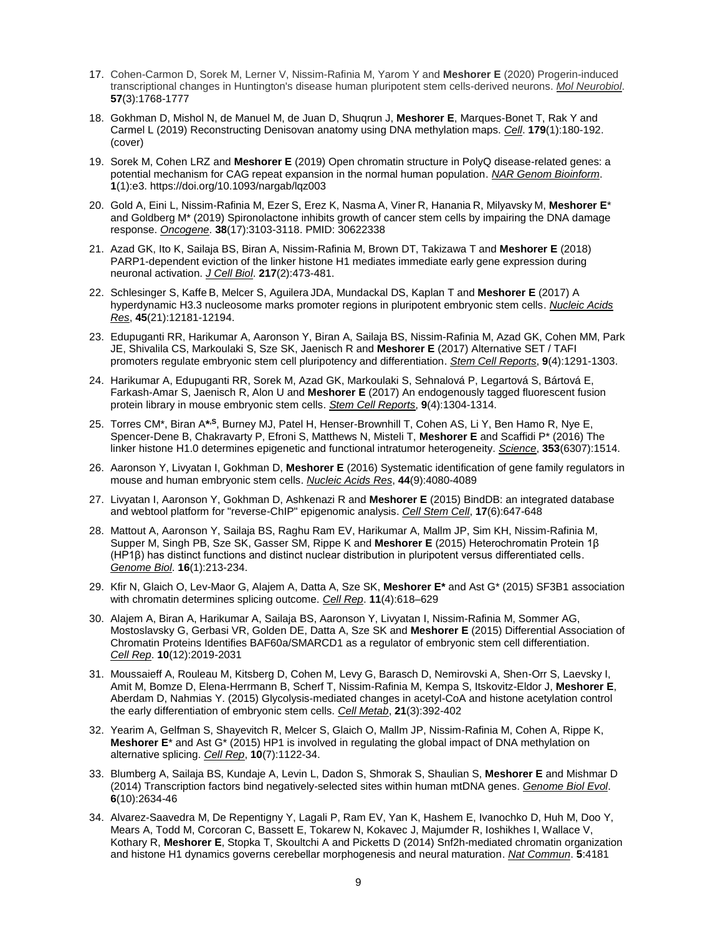- 17. Cohen-Carmon D, Sorek M, Lerner V, Nissim-Rafinia M, Yarom Y and **Meshorer E** (2020) Progerin-induced transcriptional changes in Huntington's disease human pluripotent stem cells-derived neurons. *Mol Neurobiol*. **57**(3):1768-1777
- 18. Gokhman D, Mishol N, de Manuel M, de Juan D, Shuqrun J, **Meshorer E**, Marques-Bonet T, Rak Y and Carmel L (2019) Reconstructing Denisovan anatomy using DNA methylation maps. *Cell*. **179**(1):180-192. (cover)
- 19. Sorek M, Cohen LRZ and **Meshorer E** (2019) Open chromatin structure in PolyQ disease-related genes: a potential mechanism for CAG repeat expansion in the normal human population. *NAR Genom Bioinform*. **1**(1):e3. https://doi.org/10.1093/nargab/lqz003
- 20. Gold A, Eini L, Nissim-Rafinia M, Ezer S, Erez K, Nasma A, Viner R, Hanania R, Milyavsky M, **Meshorer E**\* and Goldberg M\* (2019) Spironolactone inhibits growth of cancer stem cells by impairing the DNA damage response. *Oncogene*. **38**(17):3103-3118. PMID: 30622338
- 21. Azad GK, Ito K, Sailaja BS, Biran A, Nissim-Rafinia M, Brown DT, Takizawa T and **Meshorer E** (2018) PARP1-dependent eviction of the linker histone H1 mediates immediate early gene expression during neuronal activation. *J Cell Biol*. **217**(2):473-481.
- 22. Schlesinger S, Kaffe B, Melcer S, Aguilera JDA, Mundackal DS, Kaplan T and **Meshorer E** (2017) A hyperdynamic H3.3 nucleosome marks promoter regions in pluripotent embryonic stem cells. *Nucleic Acids Res*, **45**(21):12181-12194.
- 23. Edupuganti RR, Harikumar A, Aaronson Y, Biran A, Sailaja BS, Nissim-Rafinia M, Azad GK, Cohen MM, Park JE, Shivalila CS, Markoulaki S, Sze SK, Jaenisch R and **Meshorer E** (2017) Alternative SET / TAFI promoters regulate embryonic stem cell pluripotency and differentiation. *Stem Cell Reports*, **9**(4):1291-1303.
- 24. Harikumar A, Edupuganti RR, Sorek M, Azad GK, Markoulaki S, Sehnalová P, Legartová S, Bártová E, Farkash-Amar S, Jaenisch R, Alon U and **Meshorer E** (2017) An endogenously tagged fluorescent fusion protein library in mouse embryonic stem cells. *Stem Cell Reports*, **9**(4):1304-1314.
- 25. Torres CM\*, Biran A\*<sup>,s</sup>, Burney MJ, Patel H, Henser-Brownhill T, Cohen AS, Li Y, Ben Hamo R, Nye E, Spencer-Dene B, Chakravarty P, Efroni S, Matthews N, Misteli T, **Meshorer E** and Scaffidi P\* (2016) The linker histone H1.0 determines epigenetic and functional intratumor heterogeneity. *Science*, **353**(6307):1514.
- 26. Aaronson Y, Livyatan I, Gokhman D, **Meshorer E** (2016) Systematic identification of gene family regulators in mouse and human embryonic stem cells. *Nucleic Acids Res*, **44**(9):4080-4089
- 27. Livyatan I, Aaronson Y, Gokhman D, Ashkenazi R and **Meshorer E** (2015) BindDB: an integrated database and webtool platform for "reverse-ChIP" epigenomic analysis. *Cell Stem Cell*, **17**(6):647-648
- 28. Mattout A, Aaronson Y, Sailaja BS, Raghu Ram EV, Harikumar A, Mallm JP, Sim KH, Nissim-Rafinia M, Supper M, Singh PB, Sze SK, Gasser SM, Rippe K and **Meshorer E** (2015) Heterochromatin Protein 1β (HP1β) has distinct functions and distinct nuclear distribution in pluripotent versus differentiated cells. *Genome Biol*. **16**(1):213-234.
- 29. Kfir N, Glaich O, Lev-Maor G, Alajem A, Datta A, Sze SK, **Meshorer E\*** and Ast G\* (2015) SF3B1 association with chromatin determines splicing outcome. *Cell Rep*. **11**(4):618–629
- 30. Alajem A, Biran A, Harikumar A, Sailaja BS, Aaronson Y, Livyatan I, Nissim-Rafinia M, Sommer AG, Mostoslavsky G, Gerbasi VR, Golden DE, Datta A, Sze SK and **Meshorer E** (2015) Differential Association of Chromatin Proteins Identifies BAF60a/SMARCD1 as a regulator of embryonic stem cell differentiation. *Cell Rep*. **10**(12):2019-2031
- 31. Moussaieff A, Rouleau M, Kitsberg D, Cohen M, Levy G, Barasch D, Nemirovski A, Shen-Orr S, Laevsky I, Amit M, Bomze D, Elena-Herrmann B, Scherf T, Nissim-Rafinia M, Kempa S, Itskovitz-Eldor J, **Meshorer E**, Aberdam D, Nahmias Y. (2015) Glycolysis-mediated changes in acetyl-CoA and histone acetylation control the early differentiation of embryonic stem cells. *Cell Metab*, **21**(3):392-402
- 32. Yearim A, Gelfman S, Shayevitch R, Melcer S, Glaich O, Mallm JP, Nissim-Rafinia M, Cohen A, Rippe K, **Meshorer E**\* and Ast G\* (2015) HP1 is involved in regulating the global impact of DNA methylation on alternative splicing. *Cell Rep*, **10**(7):1122-34.
- 33. Blumberg A, Sailaja BS, Kundaje A, Levin L, Dadon S, Shmorak S, Shaulian S, **Meshorer E** and Mishmar D (2014) Transcription factors bind negatively-selected sites within human mtDNA genes. *Genome Biol Evol*. **6**(10):2634-46
- 34. Alvarez-Saavedra M, De Repentigny Y, Lagali P, Ram EV, Yan K, Hashem E, Ivanochko D, Huh M, Doo Y, Mears A, Todd M, Corcoran C, Bassett E, Tokarew N, Kokavec J, Majumder R, Ioshikhes I, Wallace V, Kothary R, **Meshorer E**, Stopka T, Skoultchi A and Picketts D (2014) Snf2h-mediated chromatin organization and histone H1 dynamics governs cerebellar morphogenesis and neural maturation. *Nat Commun*. **5**:4181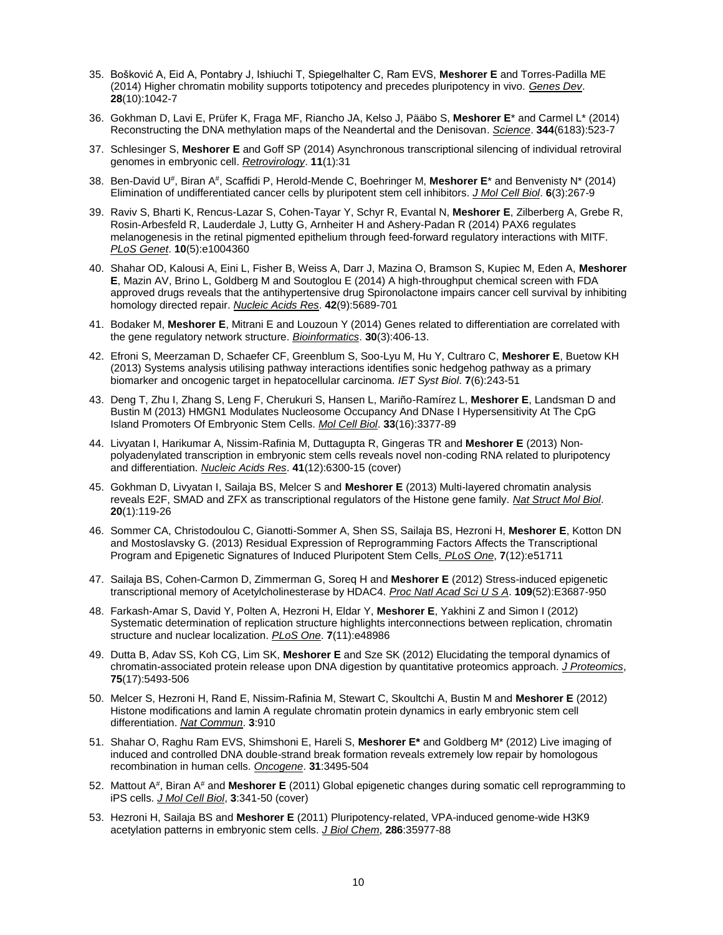- 35. Bošković A, Eid A, Pontabry J, Ishiuchi T, Spiegelhalter C, Ram EVS, **Meshorer E** and Torres-Padilla ME (2014) Higher chromatin mobility supports totipotency and precedes pluripotency in vivo. *Genes Dev*. **28**(10):1042-7
- 36. Gokhman D, Lavi E, Prüfer K, Fraga MF, Riancho JA, Kelso J, Pääbo S, **Meshorer E**\* and Carmel L\* (2014) Reconstructing the DNA methylation maps of the Neandertal and the Denisovan. *Science*. **344**(6183):523-7
- 37. Schlesinger S, **Meshorer E** and Goff SP (2014) Asynchronous transcriptional silencing of individual retroviral genomes in embryonic cell. *Retrovirology*. **11**(1):31
- 38. Ben-David U<sup>#</sup>, Biran A<sup>#</sup>, Scaffidi P, Herold-Mende C, Boehringer M, Meshorer E\* and Benvenisty N\* (2014) Elimination of undifferentiated cancer cells by pluripotent stem cell inhibitors. *J Mol Cell Biol*. **6**(3):267-9
- 39. Raviv S, Bharti K, Rencus-Lazar S, Cohen-Tayar Y, Schyr R, Evantal N, **Meshorer E**, Zilberberg A, Grebe R, Rosin-Arbesfeld R, Lauderdale J, Lutty G, Arnheiter H and Ashery-Padan R (2014) PAX6 regulates melanogenesis in the retinal pigmented epithelium through feed-forward regulatory interactions with MITF. *PLoS Genet*. **10**(5):e1004360
- 40. Shahar OD, Kalousi A, Eini L, Fisher B, Weiss A, Darr J, Mazina O, Bramson S, Kupiec M, Eden A, **Meshorer E**, Mazin AV, Brino L, Goldberg M and Soutoglou E (2014) A high-throughput chemical screen with FDA approved drugs reveals that the antihypertensive drug Spironolactone impairs cancer cell survival by inhibiting homology directed repair. *Nucleic Acids Res*. **42**(9):5689-701
- 41. Bodaker M, **Meshorer E**, Mitrani E and Louzoun Y (2014) Genes related to differentiation are correlated with the gene regulatory network structure. *Bioinformatics*. **30**(3):406-13.
- 42. Efroni S, Meerzaman D, Schaefer CF, Greenblum S, Soo-Lyu M, Hu Y, Cultraro C, **Meshorer E**, Buetow KH (2013) Systems analysis utilising pathway interactions identifies sonic hedgehog pathway as a primary biomarker and oncogenic target in hepatocellular carcinoma. *IET Syst Biol*. **7**(6):243-51
- 43. Deng T, Zhu I, Zhang S, Leng F, Cherukuri S, Hansen L, Mariño-Ramírez L, **Meshorer E**, Landsman D and Bustin M (2013) HMGN1 Modulates Nucleosome Occupancy And DNase I Hypersensitivity At The CpG Island Promoters Of Embryonic Stem Cells. *Mol Cell Biol*. **33**(16):3377-89
- 44. Livyatan I, Harikumar A, Nissim-Rafinia M, Duttagupta R, Gingeras TR and **Meshorer E** (2013) Nonpolyadenylated transcription in embryonic stem cells reveals novel non-coding RNA related to pluripotency and differentiation. *Nucleic Acids Res*. **41**(12):6300-15 (cover)
- 45. Gokhman D, Livyatan I, Sailaja BS, Melcer S and **Meshorer E** (2013) Multi-layered chromatin analysis reveals E2F, SMAD and ZFX as transcriptional regulators of the Histone gene family. *Nat Struct Mol Biol*. **20**(1):119-26
- 46. Sommer CA, Christodoulou C, Gianotti-Sommer A, Shen SS, Sailaja BS, Hezroni H, **Meshorer E**, Kotton DN and Mostoslavsky G. (2013) Residual Expression of Reprogramming Factors Affects the Transcriptional Program and Epigenetic Signatures of Induced Pluripotent Stem Cells*. PLoS One*, **7**(12):e51711
- 47. Sailaja BS, Cohen-Carmon D, Zimmerman G, Soreq H and **Meshorer E** (2012) Stress-induced epigenetic transcriptional memory of Acetylcholinesterase by HDAC4. *Proc Natl Acad Sci U S A*. **109**(52):E3687-950
- 48. Farkash-Amar S, David Y, Polten A, Hezroni H, Eldar Y, **Meshorer E**, Yakhini Z and Simon I (2012) Systematic determination of replication structure highlights interconnections between replication, chromatin structure and nuclear localization. *PLoS One*. **7**(11):e48986
- 49. Dutta B, Adav SS, Koh CG, Lim SK, **Meshorer E** and Sze SK (2012) Elucidating the temporal dynamics of chromatin-associated protein release upon DNA digestion by quantitative proteomics approach. *J Proteomics*, **75**(17):5493-506
- 50. Melcer S, Hezroni H, Rand E, Nissim-Rafinia M, Stewart C, Skoultchi A, Bustin M and **Meshorer E** (2012) Histone modifications and lamin A regulate chromatin protein dynamics in early embryonic stem cell differentiation. *Nat Commun*. **3**:910
- 51. Shahar O, Raghu Ram EVS, Shimshoni E, Hareli S, **Meshorer E\*** and Goldberg M\* (2012) Live imaging of induced and controlled DNA double-strand break formation reveals extremely low repair by homologous recombination in human cells. *Oncogene*. **31**:3495-504
- 52. Mattout A<sup>#</sup>, Biran A<sup>#</sup> and Meshorer E (2011) Global epigenetic changes during somatic cell reprogramming to iPS cells. *J Mol Cell Biol*, **3**:341-50 (cover)
- 53. Hezroni H, Sailaja BS and **Meshorer E** (2011) Pluripotency-related, VPA-induced genome-wide H3K9 acetylation patterns in embryonic stem cells. *J Biol Chem*, **286**:35977-88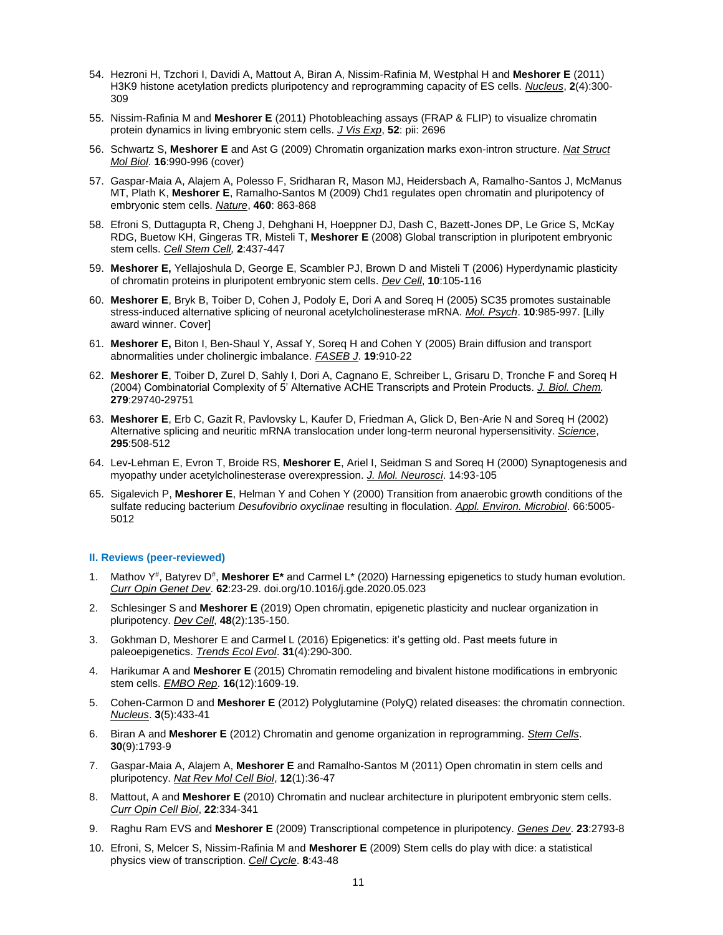- 54. Hezroni H, Tzchori I, Davidi A, Mattout A, Biran A, Nissim-Rafinia M, Westphal H and **Meshorer E** (2011) H3K9 histone acetylation predicts pluripotency and reprogramming capacity of ES cells. *Nucleus*, **2**(4):300- 309
- 55. Nissim-Rafinia M and **Meshorer E** (2011) Photobleaching assays (FRAP & FLIP) to visualize chromatin protein dynamics in living embryonic stem cells. *J Vis Exp*, **52**: pii: 2696
- 56. Schwartz S, **Meshorer E** and Ast G (2009) Chromatin organization marks exon-intron structure. *Nat Struct Mol Biol*. **16**:990-996 (cover)
- 57. Gaspar-Maia A, Alajem A, Polesso F, Sridharan R, Mason MJ, Heidersbach A, Ramalho-Santos J, McManus MT, Plath K, **Meshorer E**, Ramalho-Santos M (2009) Chd1 regulates open chromatin and pluripotency of embryonic stem cells. *Nature*, **460**: 863-868
- 58. Efroni S, Duttagupta R, Cheng J, Dehghani H, Hoeppner DJ, Dash C, Bazett-Jones DP, Le Grice S, McKay RDG, Buetow KH, Gingeras TR, Misteli T, **Meshorer E** (2008) Global transcription in pluripotent embryonic stem cells. *Cell Stem Cell,* **2**:437-447
- 59. **Meshorer E,** Yellajoshula D, George E, Scambler PJ, Brown D and Misteli T (2006) Hyperdynamic plasticity of chromatin proteins in pluripotent embryonic stem cells. *Dev Cell*, **10**:105-116
- 60. **Meshorer E**, Bryk B, Toiber D, Cohen J, Podoly E, Dori A and Soreq H (2005) SC35 promotes sustainable stress-induced alternative splicing of neuronal acetylcholinesterase mRNA. *Mol. Psych*. **10**:985-997. [Lilly award winner. Cover]
- 61. **Meshorer E,** Biton I, Ben-Shaul Y, Assaf Y, Soreq H and Cohen Y (2005) Brain diffusion and transport abnormalities under cholinergic imbalance. *FASEB J*. **19**:910-22
- 62. **Meshorer E**, Toiber D, Zurel D, Sahly I, Dori A, Cagnano E, Schreiber L, Grisaru D, Tronche F and Soreq H (2004) Combinatorial Complexity of 5' Alternative ACHE Transcripts and Protein Products. *J. Biol. Chem.* **279**:29740-29751
- 63. **Meshorer E**, Erb C, Gazit R, Pavlovsky L, Kaufer D, Friedman A, Glick D, Ben-Arie N and Soreq H (2002) Alternative splicing and neuritic mRNA translocation under long-term neuronal hypersensitivity. *Science*, **295**:508-512
- 64. Lev-Lehman E, Evron T, Broide RS, **Meshorer E**, Ariel I, Seidman S and Soreq H (2000) Synaptogenesis and myopathy under acetylcholinesterase overexpression. *J. Mol. Neurosci*. 14:93-105
- 65. Sigalevich P, **Meshorer E**, Helman Y and Cohen Y (2000) Transition from anaerobic growth conditions of the sulfate reducing bacterium *Desufovibrio oxyclinae* resulting in floculation. *Appl. Environ. Microbiol*. 66:5005- 5012

### **II. Reviews (peer-reviewed)**

- 1. Mathov Y<sup>#</sup>, Batyrev D<sup>#</sup>, Meshorer E<sup>\*</sup> and Carmel L<sup>\*</sup> (2020) Harnessing epigenetics to study human evolution. *Curr Opin Genet Dev*. **62**:23-29. doi.org/10.1016/j.gde.2020.05.023
- 2. Schlesinger S and **Meshorer E** (2019) Open chromatin, epigenetic plasticity and nuclear organization in pluripotency. *Dev Cell*, **48**(2):135-150.
- 3. Gokhman D, Meshorer E and Carmel L (2016) Epigenetics: it's getting old. Past meets future in paleoepigenetics. *Trends Ecol Evol*. **31**(4):290-300.
- 4. Harikumar A and **Meshorer E** (2015) Chromatin remodeling and bivalent histone modifications in embryonic stem cells. *EMBO Rep*. **16**(12):1609-19.
- 5. Cohen-Carmon D and **Meshorer E** (2012) Polyglutamine (PolyQ) related diseases: the chromatin connection. *Nucleus*. **3**(5):433-41
- 6. Biran A and **Meshorer E** (2012) Chromatin and genome organization in reprogramming. *Stem Cells*. **30**(9):1793-9
- 7. Gaspar-Maia A, Alajem A, **Meshorer E** and Ramalho-Santos M (2011) Open chromatin in stem cells and pluripotency. *Nat Rev Mol Cell Biol*, **12**(1):36-47
- 8. Mattout, A and **Meshorer E** (2010) Chromatin and nuclear architecture in pluripotent embryonic stem cells. *Curr Opin Cell Biol*, **22**:334-341
- 9. Raghu Ram EVS and **Meshorer E** (2009) Transcriptional competence in pluripotency. *Genes Dev*. **23**:2793-8
- 10. Efroni, S, Melcer S, Nissim-Rafinia M and **Meshorer E** (2009) Stem cells do play with dice: a statistical physics view of transcription. *Cell Cycle*. **8**:43-48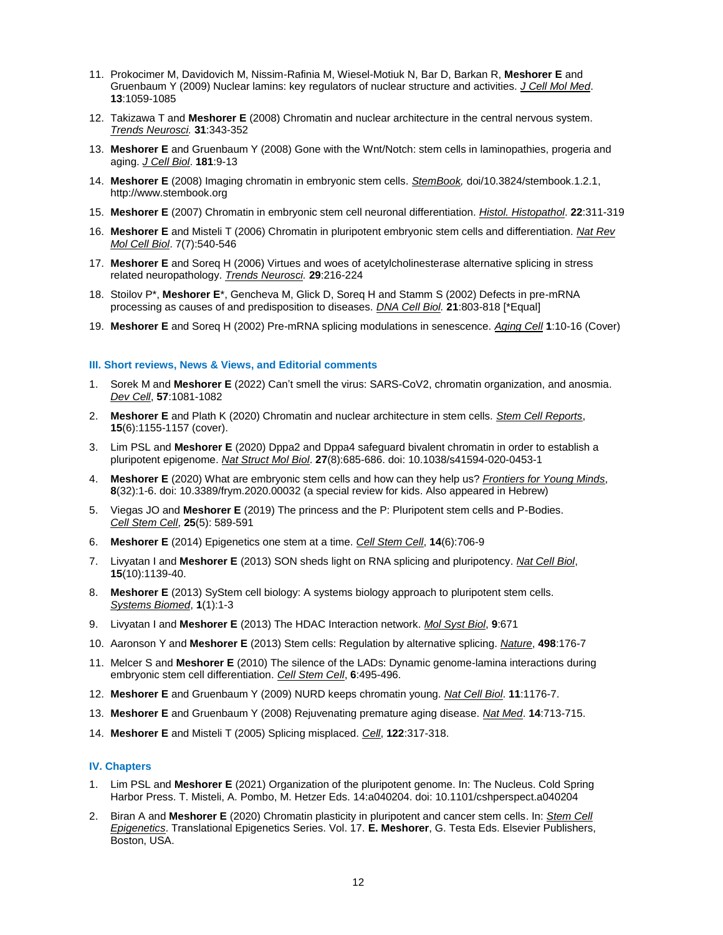- 11. Prokocimer M, Davidovich M, Nissim-Rafinia M, Wiesel-Motiuk N, Bar D, Barkan R, **Meshorer E** and Gruenbaum Y (2009) Nuclear lamins: key regulators of nuclear structure and activities. *J Cell Mol Med*. **13**:1059-1085
- 12. Takizawa T and **Meshorer E** (2008) Chromatin and nuclear architecture in the central nervous system. *Trends Neurosci.* **31**:343-352
- 13. **Meshorer E** and Gruenbaum Y (2008) Gone with the Wnt/Notch: stem cells in laminopathies, progeria and aging. *J Cell Biol*. **181**:9-13
- 14. **Meshorer E** (2008) Imaging chromatin in embryonic stem cells. *StemBook,* doi/10.3824/stembook.1.2.1, http://www.stembook.org
- 15. **Meshorer E** (2007) Chromatin in embryonic stem cell neuronal differentiation. *Histol. Histopathol*. **22**:311-319
- 16. **Meshorer E** and Misteli T (2006) Chromatin in pluripotent embryonic stem cells and differentiation. *Nat Rev Mol Cell Biol*. 7(7):540-546
- 17. **Meshorer E** and Soreq H (2006) Virtues and woes of acetylcholinesterase alternative splicing in stress related neuropathology. *Trends Neurosci.* **29**:216-224
- 18. Stoilov P\*, **Meshorer E**\*, Gencheva M, Glick D, Soreq H and Stamm S (2002) Defects in pre-mRNA processing as causes of and predisposition to diseases. *DNA Cell Biol.* **21**:803-818 [\*Equal]
- 19. **Meshorer E** and Soreq H (2002) Pre-mRNA splicing modulations in senescence. *Aging Cell* **1**:10-16 (Cover)

#### **III. Short reviews, News & Views, and Editorial comments**

- 1. Sorek M and **Meshorer E** (2022) Can't smell the virus: SARS-CoV2, chromatin organization, and anosmia. *Dev Cell*, **57**:1081-1082
- 2. **Meshorer E** and Plath K (2020) Chromatin and nuclear architecture in stem cells. *Stem Cell Reports*, **15**(6):1155-1157 (cover).
- 3. Lim PSL and **Meshorer E** (2020) Dppa2 and Dppa4 safeguard bivalent chromatin in order to establish a pluripotent epigenome. *Nat Struct Mol Biol*. **27**(8):685-686. doi: 10.1038/s41594-020-0453-1
- 4. **Meshorer E** (2020) What are embryonic stem cells and how can they help us? *Frontiers for Young Minds*, **8**(32):1-6. doi: 10.3389/frym.2020.00032 (a special review for kids. Also appeared in Hebrew)
- 5. Viegas JO and **Meshorer E** (2019) The princess and the P: Pluripotent stem cells and P-Bodies. *Cell Stem Cell*, **25**(5): 589-591
- 6. **Meshorer E** (2014) Epigenetics one stem at a time. *Cell Stem Cell*, **14**(6):706-9
- 7. Livyatan I and **Meshorer E** (2013) SON sheds light on RNA splicing and pluripotency. *Nat Cell Biol*, **15**(10):1139-40.
- 8. **Meshorer E** (2013) SyStem cell biology: A systems biology approach to pluripotent stem cells. *Systems Biomed*, **1**(1):1-3
- 9. Livyatan I and **Meshorer E** (2013) The HDAC Interaction network. *Mol Syst Biol*, **9**:671
- 10. Aaronson Y and **Meshorer E** (2013) Stem cells: Regulation by alternative splicing. *Nature*, **498**:176-7
- 11. Melcer S and **Meshorer E** (2010) The silence of the LADs: Dynamic genome-lamina interactions during embryonic stem cell differentiation. *Cell Stem Cell*, **6**:495-496.
- 12. **Meshorer E** and Gruenbaum Y (2009) NURD keeps chromatin young. *Nat Cell Biol*. **11**:1176-7.
- 13. **Meshorer E** and Gruenbaum Y (2008) Rejuvenating premature aging disease. *Nat Med*. **14**:713-715.
- 14. **Meshorer E** and Misteli T (2005) Splicing misplaced. *Cell*, **122**:317-318.

#### **IV. Chapters**

- 1. Lim PSL and **Meshorer E** (2021) Organization of the pluripotent genome. In: The Nucleus. Cold Spring Harbor Press. T. Misteli, A. Pombo, M. Hetzer Eds. 14:a040204. doi: 10.1101/cshperspect.a040204
- 2. Biran A and **Meshorer E** (2020) Chromatin plasticity in pluripotent and cancer stem cells. In: *Stem Cell Epigenetics*. Translational Epigenetics Series. Vol. 17. **E. Meshorer**, G. Testa Eds. Elsevier Publishers, Boston, USA.